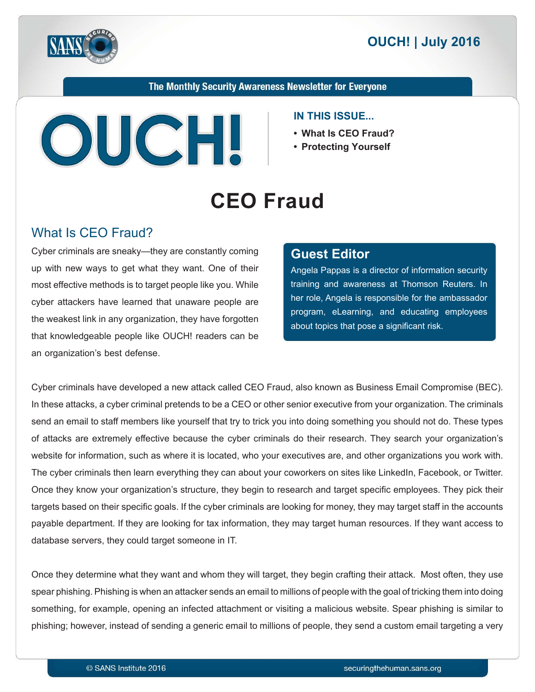



The Monthly Security Awareness Newsletter for Everyone



#### **IN THIS ISSUE...**

- What Is CEO Fraud?
- **Protecting Yourself**

# **CEO** Fraud

#### What Is CEO Fraud?

Cyber criminals are sneaky—they are constantly coming up with new ways to get what they want. One of their most effective methods is to target people like you. While cyber attackers have learned that unaware people are the weakest link in any organization, they have forgotten that knowledgeable people like OUCH! readers can be an organization's best defense.

#### **Editor Guest**

Angela Pappas is a director of information security training and awareness at Thomson Reuters. In her role, Angela is responsible for the ambassador program, eLearning, and educating employees about topics that pose a significant risk.

Cyber criminals have developed a new attack called CEO Fraud, also known as Business Email Compromise (BEC). In these attacks, a cyber criminal pretends to be a CEO or other senior executive from your organization. The criminals send an email to staff members like yourself that try to trick you into doing something you should not do. These types of attacks are extremely effective because the cyber criminals do their research. They search your organization's website for information, such as where it is located, who your executives are, and other organizations you work with. The cyber criminals then learn everything they can about your coworkers on sites like LinkedIn, Facebook, or Twitter. Once they know your organization's structure, they begin to research and target specific employees. They pick their targets based on their specific goals. If the cyber criminals are looking for money, they may target staff in the accounts payable department. If they are looking for tax information, they may target human resources. If they want access to database servers, they could target someone in IT.

Once they determine what they want and whom they will target, they begin crafting their attack. Most often, they use spear phishing. Phishing is when an attacker sends an email to millions of people with the goal of tricking them into doing something, for example, opening an infected attachment or visiting a malicious website. Spear phishing is similar to phishing; however, instead of sending a generic email to millions of people, they send a custom email targeting a very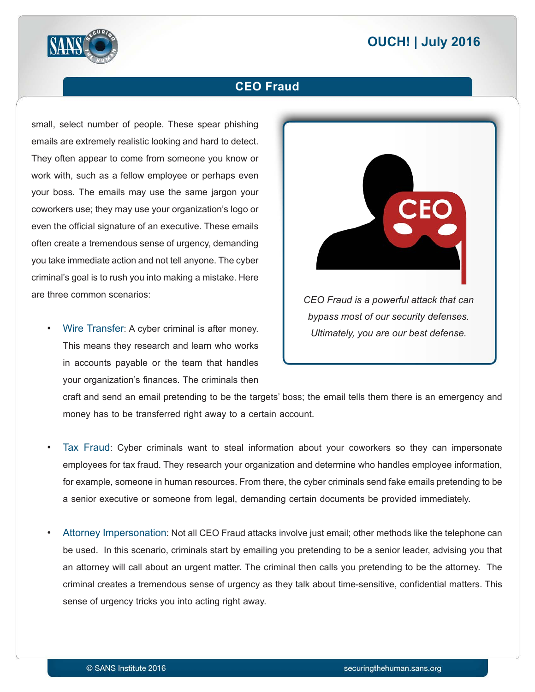## **2016 | OUCH! | July 2016**



#### **CEO** Fraud

small, select number of people. These spear phishing emails are extremely realistic looking and hard to detect. They often appear to come from someone you know or work with, such as a fellow employee or perhaps even your boss. The emails may use the same jargon your coworkers use; they may use your organization's logo or even the official signature of an executive. These emails often create a tremendous sense of urgency, demanding you take immediate action and not tell anyone. The cyber criminal's goal is to rush you into making a mistake. Here are three common scenarios:

Wire Transfer: A cyber criminal is after money. This means they research and learn who works in accounts payable or the team that handles your organization's finances. The criminals then



craft and send an email pretending to be the targets' boss; the email tells them there is an emergency and money has to be transferred right away to a certain account.

- Tax Fraud: Cyber criminals want to steal information about your coworkers so they can impersonate employees for tax fraud. They research your organization and determine who handles employee information, for example, someone in human resources. From there, the cyber criminals send fake emails pretending to be a senior executive or someone from legal, demanding certain documents be provided immediately.
- Attorney Impersonation: Not all CEO Fraud attacks involve just email; other methods like the telephone can be used. In this scenario, criminals start by emailing you pretending to be a senior leader, advising you that an attorney will call about an urgent matter. The criminal then calls you pretending to be the attorney. The criminal creates a tremendous sense of urgency as they talk about time-sensitive, confidential matters. This sense of urgency tricks you into acting right away.